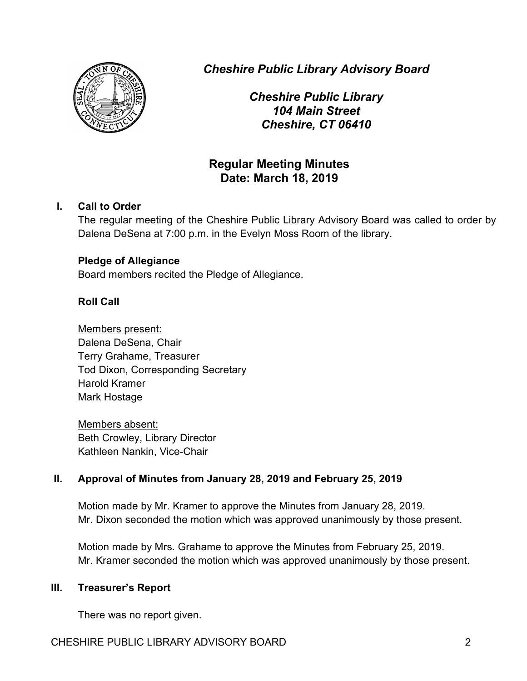

*Cheshire Public Library Advisory Board*

*Cheshire Public Library 104 Main Street Cheshire, CT 06410*

# **Regular Meeting Minutes Date: March 18, 2019**

### **I. Call to Order**

The regular meeting of the Cheshire Public Library Advisory Board was called to order by Dalena DeSena at 7:00 p.m. in the Evelyn Moss Room of the library.

#### **Pledge of Allegiance**

Board members recited the Pledge of Allegiance.

## **Roll Call**

Members present: Dalena DeSena, Chair Terry Grahame, Treasurer Tod Dixon, Corresponding Secretary Harold Kramer Mark Hostage

Members absent: Beth Crowley, Library Director Kathleen Nankin, Vice-Chair

## **II. Approval of Minutes from January 28, 2019 and February 25, 2019**

Motion made by Mr. Kramer to approve the Minutes from January 28, 2019. Mr. Dixon seconded the motion which was approved unanimously by those present.

Motion made by Mrs. Grahame to approve the Minutes from February 25, 2019. Mr. Kramer seconded the motion which was approved unanimously by those present.

#### **III. Treasurer's Report**

There was no report given.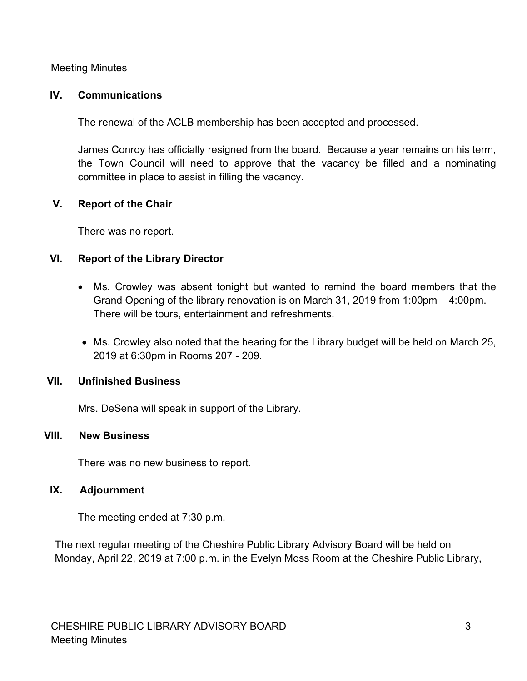Meeting Minutes

#### **IV. Communications**

The renewal of the ACLB membership has been accepted and processed.

James Conroy has officially resigned from the board. Because a year remains on his term, the Town Council will need to approve that the vacancy be filled and a nominating committee in place to assist in filling the vacancy.

## **V. Report of the Chair**

There was no report.

## **VI. Report of the Library Director**

- Ms. Crowley was absent tonight but wanted to remind the board members that the Grand Opening of the library renovation is on March 31, 2019 from 1:00pm – 4:00pm. There will be tours, entertainment and refreshments.
- Ms. Crowley also noted that the hearing for the Library budget will be held on March 25, 2019 at 6:30pm in Rooms 207 - 209.

## **VII. Unfinished Business**

Mrs. DeSena will speak in support of the Library.

#### **VIII. New Business**

There was no new business to report.

## **IX. Adjournment**

The meeting ended at 7:30 p.m.

The next regular meeting of the Cheshire Public Library Advisory Board will be held on Monday, April 22, 2019 at 7:00 p.m. in the Evelyn Moss Room at the Cheshire Public Library,